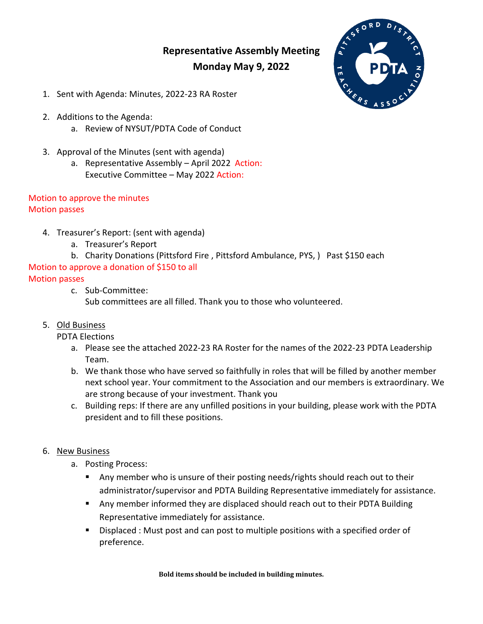# **Representative Assembly Meeting Monday May 9, 2022**



- 1. Sent with Agenda: Minutes, 2022-23 RA Roster
- 2. Additions to the Agenda:
	- a. Review of NYSUT/PDTA Code of Conduct
- 3. Approval of the Minutes (sent with agenda)
	- a. Representative Assembly April 2022 Action: Executive Committee – May 2022 Action:

#### Motion to approve the minutes Motion passes

- 4. Treasurer's Report: (sent with agenda)
	- a. Treasurer's Report
	- b. Charity Donations (Pittsford Fire , Pittsford Ambulance, PYS, ) Past \$150 each

## Motion to approve a donation of \$150 to all

## Motion passes

c. Sub-Committee:

Sub committees are all filled. Thank you to those who volunteered.

# 5. Old Business

- PDTA Elections
	- a. Please see the attached 2022-23 RA Roster for the names of the 2022-23 PDTA Leadership Team.
	- b. We thank those who have served so faithfully in roles that will be filled by another member next school year. Your commitment to the Association and our members is extraordinary. We are strong because of your investment. Thank you
	- c. Building reps: If there are any unfilled positions in your building, please work with the PDTA president and to fill these positions.

#### 6. New Business

- a. Posting Process:
	- Any member who is unsure of their posting needs/rights should reach out to their administrator/supervisor and PDTA Building Representative immediately for assistance.
	- Any member informed they are displaced should reach out to their PDTA Building Representative immediately for assistance.
	- Displaced : Must post and can post to multiple positions with a specified order of preference.

**Bold items should be included in building minutes.**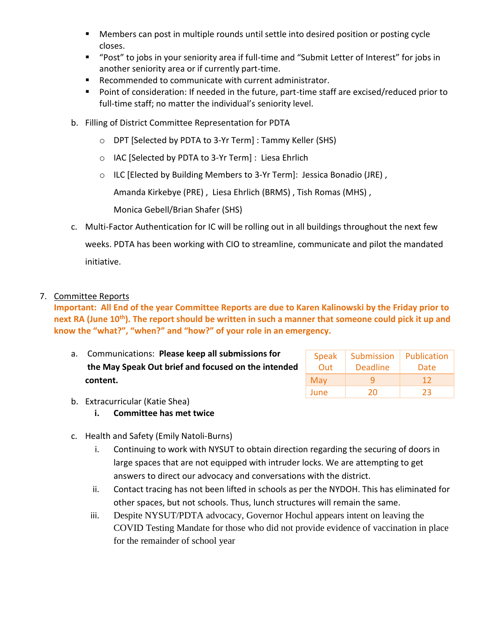- **Members can post in multiple rounds until settle into desired position or posting cycle** closes.
- "Post" to jobs in your seniority area if full-time and "Submit Letter of Interest" for jobs in another seniority area or if currently part-time.
- Recommended to communicate with current administrator.
- **Point of consideration: If needed in the future, part-time staff are excised/reduced prior to** full-time staff; no matter the individual's seniority level.
- b. Filling of District Committee Representation for PDTA
	- o DPT [Selected by PDTA to 3-Yr Term] : Tammy Keller (SHS)
	- o IAC [Selected by PDTA to 3-Yr Term] : Liesa Ehrlich
	- o ILC [Elected by Building Members to 3-Yr Term]: Jessica Bonadio (JRE) ,

Amanda Kirkebye (PRE) , Liesa Ehrlich (BRMS) , Tish Romas (MHS) ,

Monica Gebell/Brian Shafer (SHS)

- c. Multi-Factor Authentication for IC will be rolling out in all buildings throughout the next few weeks. PDTA has been working with CIO to streamline, communicate and pilot the mandated initiative.
- 7. Committee Reports

**Important: All End of the year Committee Reports are due to Karen Kalinowski by the Friday prior to next RA (June 10th). The report should be written in such a manner that someone could pick it up and know the "what?", "when?" and "how?" of your role in an emergency.** 

a. Communications: **Please keep all submissions for the May Speak Out brief and focused on the intended content.**

| <b>Speak</b> | Submission      | Publication |
|--------------|-----------------|-------------|
| Out          | <b>Deadline</b> | Date        |
| May          |                 | 12          |
| June         | 20              | フ3          |

- b. Extracurricular (Katie Shea)
	- **i. Committee has met twice**
- c. Health and Safety (Emily Natoli-Burns)
	- i. Continuing to work with NYSUT to obtain direction regarding the securing of doors in large spaces that are not equipped with intruder locks. We are attempting to get answers to direct our advocacy and conversations with the district.
	- ii. Contact tracing has not been lifted in schools as per the NYDOH. This has eliminated for other spaces, but not schools. Thus, lunch structures will remain the same.
	- iii. Despite NYSUT/PDTA advocacy, Governor Hochul appears intent on leaving the COVID Testing Mandate for those who did not provide evidence of vaccination in place for the remainder of school year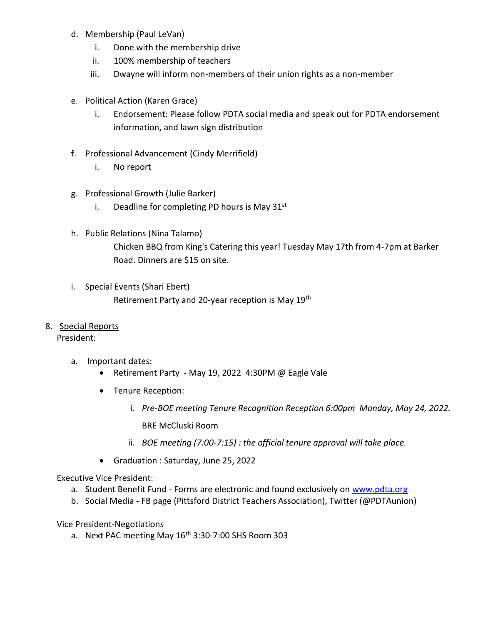- d. Membership (Paul LeVan)
	- i. Done with the membership drive
	- ii. 100% membership of teachers
	- iii. Dwayne will inform non-members of their union rights as a non-member
- e. Political Action (Karen Grace)
	- i. Endorsement: Please follow PDTA social media and speak out for PDTA endorsement information, and lawn sign distribution
- f. Professional Advancement (Cindy Merrifield)
	- i. No report
- g. Professional Growth (Julie Barker)
	- i. Deadline for completing PD hours is May  $31<sup>st</sup>$
- h. Public Relations (Nina Talamo) Chicken BBQ from King's Catering this year! Tuesday May 17th from 4-7pm at Barker Road. Dinners are \$15 on site.
- i. Special Events (Shari Ebert) Retirement Party and 20-year reception is May 19th
- 8. Special Reports

#### President:

- a. Important dates:
	- Retirement Party May 19, 2022 4:30PM @ Eagle Vale
	- Tenure Reception:
		- i. *Pre-BOE meeting Tenure Recognition Reception 6:00pm Monday, May 24, 2022.*

BRE McCluski Room

- ii. *BOE meeting (7:00-7:15) : the official tenure approval will take place.*
- Graduation : Saturday, June 25, 2022

Executive Vice President:

- a. Student Benefit Fund Forms are electronic and found exclusively on [www.pdta.org](http://www.pdta.org/)
- b. Social Media FB page (Pittsford District Teachers Association), Twitter (@PDTAunion)

Vice President-Negotiations

a. Next PAC meeting May 16<sup>th</sup> 3:30-7:00 SHS Room 303